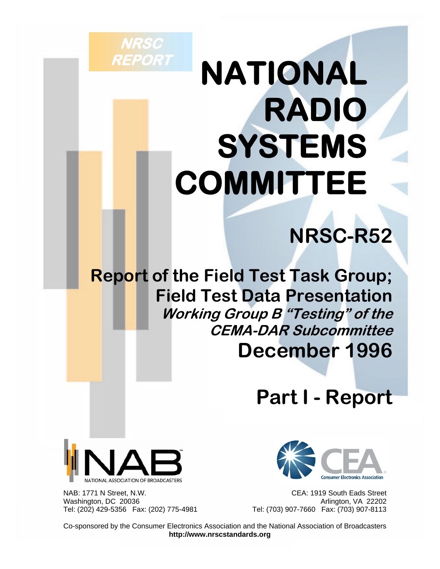# **NATIONAL RADIO SYSTEMS COMMITTEE**

# **NRSC-R52**

**Report of the Field Test Task Group; Field Test Data Presentation Working Group B "Testing" of the CEMA-DAR Subcommittee December 1996**

# **Part I - Report**



**NRSC** 

**REPORT** 

Washington, DC 20036<br>Tel: (202) 429-5356 Fax: (202) 775-4981 **Archard Tel: (703) 907-7660** Fax: (703) 907-8113



 NAB: 1771 N Street, N.W. CEA: 1919 South Eads Street Tel: (703) 907-7660 Fax: (703) 907-8113

 Co-sponsored by the Consumer Electronics Association and the National Association of Broadcasters **http://www.nrscstandards.org**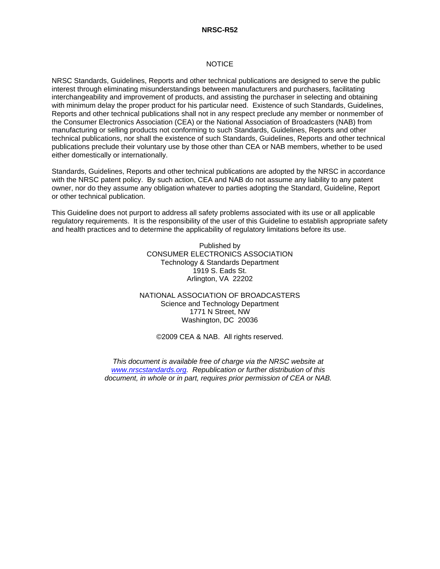#### **NRSC-R52**

#### **NOTICE**

NRSC Standards, Guidelines, Reports and other technical publications are designed to serve the public interest through eliminating misunderstandings between manufacturers and purchasers, facilitating interchangeability and improvement of products, and assisting the purchaser in selecting and obtaining with minimum delay the proper product for his particular need. Existence of such Standards, Guidelines, Reports and other technical publications shall not in any respect preclude any member or nonmember of the Consumer Electronics Association (CEA) or the National Association of Broadcasters (NAB) from manufacturing or selling products not conforming to such Standards, Guidelines, Reports and other technical publications, nor shall the existence of such Standards, Guidelines, Reports and other technical publications preclude their voluntary use by those other than CEA or NAB members, whether to be used either domestically or internationally.

Standards, Guidelines, Reports and other technical publications are adopted by the NRSC in accordance with the NRSC patent policy. By such action, CEA and NAB do not assume any liability to any patent owner, nor do they assume any obligation whatever to parties adopting the Standard, Guideline, Report or other technical publication.

This Guideline does not purport to address all safety problems associated with its use or all applicable regulatory requirements. It is the responsibility of the user of this Guideline to establish appropriate safety and health practices and to determine the applicability of regulatory limitations before its use.

> Published by CONSUMER ELECTRONICS ASSOCIATION Technology & Standards Department 1919 S. Eads St. Arlington, VA 22202

NATIONAL ASSOCIATION OF BROADCASTERS Science and Technology Department 1771 N Street, NW Washington, DC 20036

©2009 CEA & NAB. All rights reserved.

*This document is available free of charge via the NRSC website at www.nrscstandards.org. Republication or further distribution of this document, in whole or in part, requires prior permission of CEA or NAB.*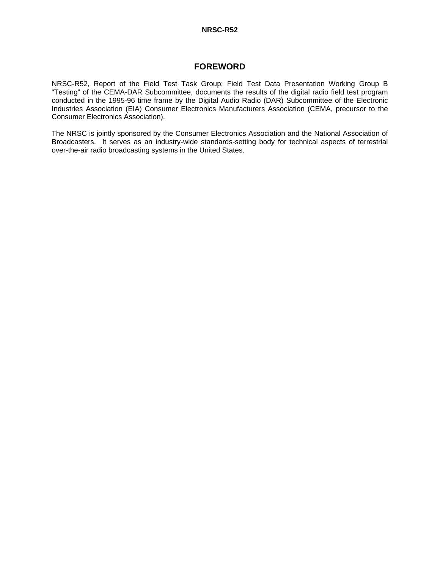#### **NRSC-R52**

#### **FOREWORD**

NRSC-R52, Report of the Field Test Task Group; Field Test Data Presentation Working Group B "Testing" of the CEMA-DAR Subcommittee, documents the results of the digital radio field test program conducted in the 1995-96 time frame by the Digital Audio Radio (DAR) Subcommittee of the Electronic Industries Association (EIA) Consumer Electronics Manufacturers Association (CEMA, precursor to the Consumer Electronics Association).

The NRSC is jointly sponsored by the Consumer Electronics Association and the National Association of Broadcasters. It serves as an industry-wide standards-setting body for technical aspects of terrestrial over-the-air radio broadcasting systems in the United States.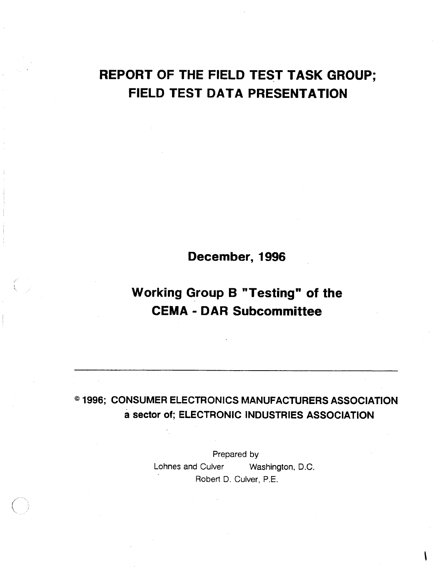# REPORT OF THE FIELD TEST TASK GROUP; FIELD TEST DATA PRESENTATION

December, 1996

**Working Group B "Testing" of the CEMA - DAR Subcommittee** 

### <sup>®</sup> 1996; CONSUMER ELECTRONICS MANUFACTURERS ASSOCIATION a sector of; ELECTRONIC INDUSTRIES ASSOCIATION

Prepared by Lohnes and Culver Washington, D.C. Robert D. Culver, P.E.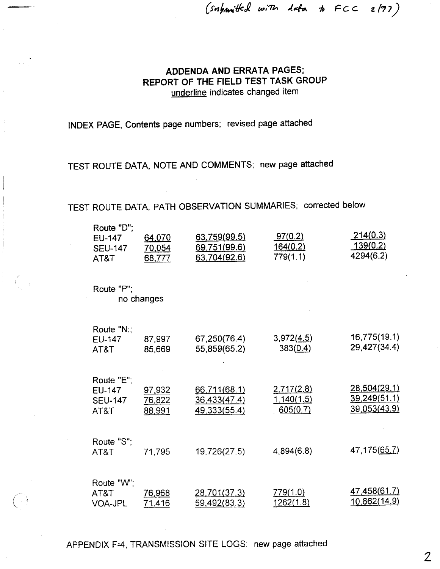(submitted with data to FCC 2/97)

#### ADDENDA AND ERRATA PAGES; REPORT OF THE FIELD TEST TASK GROUP underline indicates changed item

INDEX PAGE, Contents page numbers; revised page attached

TEST ROUTE DATA, NOTE AND COMMENTS; new page attached

## TEST ROUTE DATA, PATH OBSERVATION SUMMARIES; corrected below

| Route "D";<br><b>EU-147</b><br><b>SEU-147</b><br>AT&T | 64,070<br>70,054<br>68,777        | 63,759(99.5)<br>69,751(99.6)<br>63,704(92.6) | 97(0.2)<br><u>164(0.2)</u><br>779(1.1) | 214(0.3)<br><u>139(0.2)</u><br>4294(6.2)            |
|-------------------------------------------------------|-----------------------------------|----------------------------------------------|----------------------------------------|-----------------------------------------------------|
| Route "P";                                            | no changes                        |                                              |                                        |                                                     |
| Route "N::<br><b>EU-147</b><br>AT&T                   | 87,997<br>85,669                  | 67,250(76.4)<br>55,859(65.2)                 | 3,972(4.5)<br>383(0.4)                 | 16,775(19.1)<br>29,427(34.4)                        |
| Route "E":<br><b>EU-147</b><br><b>SEU-147</b><br>AT&T | 97,932<br><u>76,822</u><br>88,991 | 66,711(68.1)<br>36,433(47.4)<br>49,333(55.4) | 2,717(2.8)<br>1,140(1.5)<br>605(0.7)   | 28,504(29.1)<br><u>39,249(51.1)</u><br>39,053(43.9) |
| Route "S";<br>AT&T                                    | 71.795                            | 19,726(27.5)                                 | 4,894(6.8)                             | 47,175(65.7)                                        |
| Route "W";<br>AT&T<br>VOA-JPL                         | 76,968<br>71.416                  | 28,701(37.3)<br>59,492(83.3)                 | 779(1.0)<br><u>1262(1.8)</u>           | 47,458(61.7)<br>10,662(14.9)                        |

APPENDIX F=4, TRANSMISSION SITE LOGS; new page attached

 $\left\langle \cdot, \cdot \right\rangle$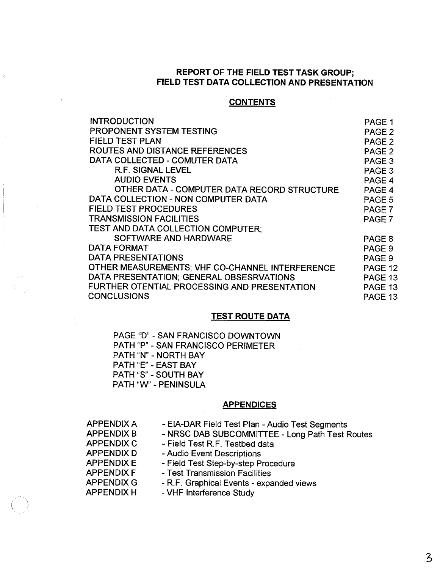#### REPORT OF THE FIELD TEST TASK GROUP; FIELD TEST DATA COLLECTION AND PRESENTATION

#### **CONTENTS**

| <b>INTRODUCTION</b>                             | PAGE 1            |
|-------------------------------------------------|-------------------|
| PROPONENT SYSTEM TESTING                        | PAGE <sub>2</sub> |
| <b>FIELD TEST PLAN</b>                          | PAGE <sub>2</sub> |
| ROUTES AND DISTANCE REFERENCES                  | PAGE <sub>2</sub> |
| DATA COLLECTED - COMUTER DATA                   | PAGE 3            |
| <b>R.F. SIGNAL LEVEL</b>                        | PAGE <sub>3</sub> |
| <b>AUDIO EVENTS</b>                             | PAGE 4            |
| OTHER DATA - COMPUTER DATA RECORD STRUCTURE     | PAGE <sub>4</sub> |
| DATA COLLECTION - NON COMPUTER DATA             | PAGE 5            |
| <b>FIELD TEST PROCEDURES</b>                    | PAGE 7            |
| <b>TRANSMISSION FACILITIES</b>                  | PAGE 7            |
| <b>TEST AND DATA COLLECTION COMPUTER:</b>       |                   |
| SOFTWARE AND HARDWARE                           | PAGE 8            |
| DATA FORMAT                                     | PAGE <sub>9</sub> |
| <b>DATA PRESENTATIONS</b>                       | PAGE 9            |
| OTHER MEASUREMENTS; VHF CO-CHANNEL INTERFERENCE | PAGE 12           |
| DATA PRESENTATION; GENERAL OBSESRVATIONS        | PAGE 13           |
| FURTHER OTENTIAL PROCESSING AND PRESENTATION    | PAGE 13           |
| <b>CONCLUSIONS</b>                              | PAGE 13           |

#### **TEST ROUTE DATA**

PAGE "D" - SAN FRANCISCO DOWNTOWN PATH "P" - SAN FRANCISCO PERIMETER PATH "N" - NORTH BAY PATH "E" - EAST BAY PATH "S" - SOUTH BAY PATH "W" - PENINSULA

 $\mathcal{L}^{\mathcal{E}}_{\mathbf{a}}$ 

#### **APPENDICES**

| <b>APPENDIX A</b> | - EIA-DAR Field Test Plan - Audio Test Segments |
|-------------------|-------------------------------------------------|
| <b>APPENDIX B</b> | - NRSC DAB SUBCOMMITTEE - Long Path Test Routes |
| <b>APPENDIX C</b> | - Field Test R.F. Testbed data                  |
| <b>APPENDIX D</b> | - Audio Event Descriptions                      |
| <b>APPENDIX E</b> | - Field Test Step-by-step Procedure             |
| <b>APPENDIX F</b> | - Test Transmission Facilities                  |
| <b>APPENDIX G</b> | - R.F. Graphical Events - expanded views        |
| <b>APPENDIX H</b> | - VHF Interference Study                        |

- VHF Interference Study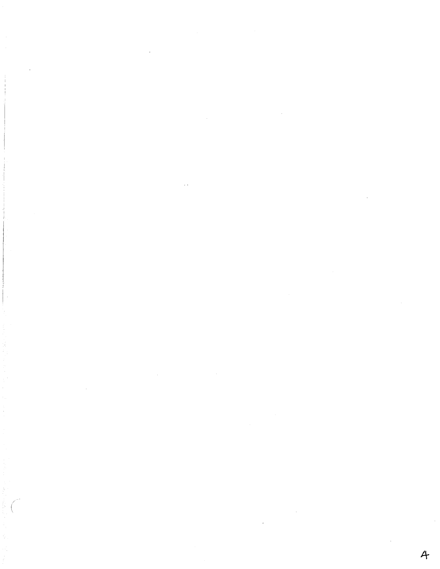$\frac{1}{2}$ 

 $\frac{1}{2}$ 

 $\overline{\phantom{a}}$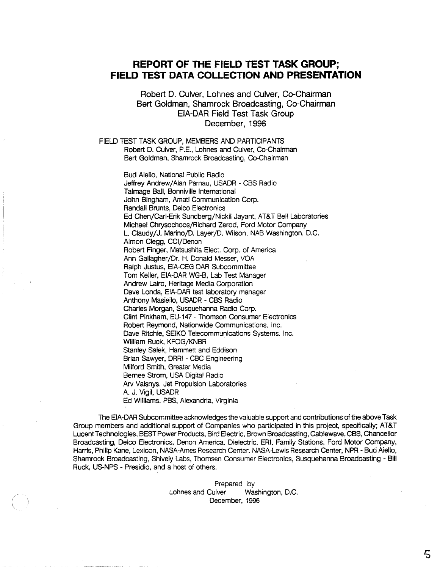#### REPORT OF THE FIELD TEST TASK GROUP; FIELD TEST DATA COLLECTION AND PRESENTATION

Robert D. Culver, Lohnes and Culver, Co-Chairman Bert Goldman, Shamrock Broadcasting, Co-Chairman **EIA-DAR Field Test Task Group** December, 1996

FIELD TEST TASK GROUP, MEMBERS AND PARTICIPANTS Robert D. Culver, P.E., Lohnes and Culver, Co-Chairman Bert Goldman, Shamrock Broadcasting, Co-Chairman

> Bud Aiello, National Public Radio Jeffrey Andrew/Alan Parnau, USADR - CBS Radio Talmage Ball, Bonniville International John Bingham, Amati Communication Corp. Randall Brunts, Delco Electronics Ed Chen/Carl-Erik Sundberg/Nickil Jayant, AT&T Bell Laboratories Michael Chrysochoos/Richard Zerod, Ford Motor Company L. Claudy/J. Marino/D. Laver/D. Wilson, NAB Washington, D.C. Almon Clegg, CCI/Denon Robert Finger, Matsushita Elect. Corp. of America Ann Gallagher/Dr. H. Donald Messer, VOA Ralph Justus, EIA-CEG DAR Subcommittee Tom Keller, EIA-DAR WG-B, Lab Test Manager Andrew Laird, Heritage Media Corporation Dave Londa, EIA-DAR test laboratory manager Anthony Masiello, USADR - CBS Radio Charles Morgan, Susquehanna Radio Corp. Clint Pinkham, EU-147 - Thomson Consumer Electronics Robert Revmond, Nationwide Communications, Inc. Dave Ritchie, SEIKO Telecommunications Systems, Inc. William Ruck, KFOG/KNBR Stanley Salek, Hammett and Eddison Brian Sawyer, DRRI - CBC Engineering Milford Smith, Greater Media Bernee Strom, USA Digital Radio Arv Vaisnys, Jet Propulsion Laboratories A. J. Vigil, USADR Ed Williams, PBS, Alexandria, Virginia

The EIA-DAR Subcommittee acknowledges the valuable support and contributions of the above Task Group members and additional support of Companies who participated in this project, specifically; AT&T Lucent Technologies, BEST Power Products, Bird Electric, Brown Broadcasting, Cablewave, CBS, Chancellor Broadcasting, Delco Electronics, Denon America, Dielectric, ERI, Family Stations, Ford Motor Company, Harris, Philip Kane, Lexicon, NASA-Ames Research Center, NASA-Lewis Research Center, NPR - Bud Aiello, Shamrock Broadcasting, Shively Labs, Thomsen Consumer Electronics, Susquehanna Broadcasting - Bill Ruck, US-NPS - Presidio, and a host of others.

> Prepared by Washington, D.C. Lohnes and Culver December, 1996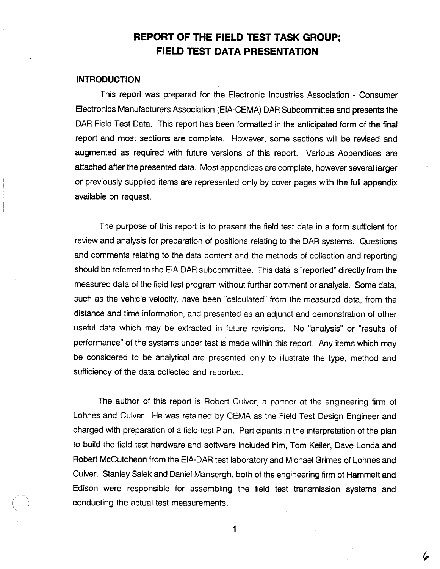### REPORT OF THE FIELD TEST TASK GROUP; **FIELD TEST DATA PRESENTATION**

#### **INTRODUCTION**

This report was prepared for the Electronic Industries Association - Consumer Electronics Manufacturers Association (EIA-CEMA) DAR Subcommittee and presents the DAR Field Test Data. This report has been formatted in the anticipated form of the final report and most sections are complete. However, some sections will be revised and augmented as required with future versions of this report. Various Appendices are attached after the presented data. Most appendices are complete, however several larger or previously supplied items are represented only by cover pages with the full appendix available on request.

The purpose of this report is to present the field test data in a form sufficient for review and analysis for preparation of positions relating to the DAR systems. Questions and comments relating to the data content and the methods of collection and reporting should be referred to the EIA-DAR subcommittee. This data is "reported" directly from the measured data of the field test program without further comment or analysis. Some data, such as the vehicle velocity, have been "calculated" from the measured data, from the distance and time information, and presented as an adjunct and demonstration of other useful data which may be extracted in future revisions. No "analysis" or "results of performance" of the systems under test is made within this report. Any items which may be considered to be analytical are presented only to illustrate the type, method and sufficiency of the data collected and reported.

The author of this report is Robert Culver, a partner at the engineering firm of Lohnes and Culver. He was retained by CEMA as the Field Test Design Engineer and charged with preparation of a field test Plan. Participants in the interpretation of the plan to build the field test hardware and software included him, Tom Keller, Dave Londa and Robert McCutcheon from the EIA-DAR test laboratory and Michael Grimes of Lohnes and Culver. Stanley Salek and Daniel Mansergh, both of the engineering firm of Hammett and Edison were responsible for assembling the field test transmission systems and conducting the actual test measurements.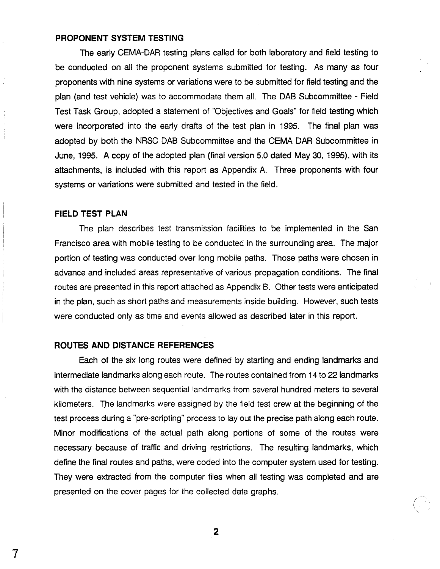#### PROPONENT SYSTEM TESTING

The early CEMA-DAR testing plans called for both laboratory and field testing to be conducted on all the proponent systems submitted for testing. As many as four proponents with nine systems or variations were to be submitted for field testing and the plan (and test vehicle) was to accommodate them all. The DAB Subcommittee - Field Test Task Group, adopted a statement of "Objectives and Goals" for field testing which were incorporated into the early drafts of the test plan in 1995. The final plan was adopted by both the NRSC DAB Subcommittee and the CEMA DAR Subcommittee in June, 1995. A copy of the adopted plan (final version 5.0 dated May 30, 1995), with its attachments, is included with this report as Appendix A. Three proponents with four systems or variations were submitted and tested in the field.

#### FIELD TEST PLAN

7

The plan describes test transmission facilities to be implemented in the San Francisco area with mobile testing to be conducted in the surrounding area. The major portion of testing was conducted over long mobile paths. Those paths were chosen in advance and included areas representative of various propagation conditions. The final routes are presented in this report attached as Appendix B. Other tests were anticipated in the plan, such as short paths and measurements inside building. However, such tests were conducted only as time and events allowed as described later in this report.

#### ROUTES AND DISTANCE REFERENCES

Each of the six long routes were defined by starting and ending landmarks and intermediate landmarks along each route. The routes contained from 14 to 22 landmarks with the distance between sequential landmarks from several hundred meters to several kilometers. The landmarks were assigned by the field test crew at the beginning of the test process during a "pre-scripting" process to lay out the precise path along each route. Minor modifications of the actual path along portions of some of the routes were necessary because of traffic and driving restrictions. The resulting landmarks, which define the final routes and paths, were coded into the computer system used for testing. They were extracted from the computer files when all testing was completed and are presented on the cover pages for the collected data graphs.

 $\overline{2}$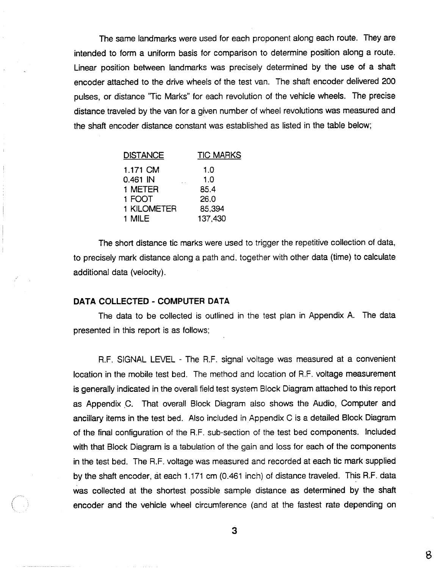The same landmarks were used for each proponent along each route. They are intended to form a uniform basis for comparison to determine position along a route. Linear position between landmarks was precisely determined by the use of a shaft encoder attached to the drive wheels of the test van. The shaft encoder delivered 200 pulses, or distance "Tic Marks" for each revolution of the vehicle wheels. The precise distance traveled by the van for a given number of wheel revolutions was measured and the shaft encoder distance constant was established as listed in the table below;

| <b>DISTANCE</b> | <b>TIC MARKS</b> |
|-----------------|------------------|
| 1.171 CM        | 1.0              |
| 0.461 IN        | 1.0              |
| 1 METER         | 85.4             |
| 1 FOOT          | 26.0             |
| 1 KILOMETER     | 85,394           |
| 1 MILE          | 137,430          |

The short distance tic marks were used to trigger the repetitive collection of data, to precisely mark distance along a path and, together with other data (time) to calculate additional data (velocity).

#### DATA COLLECTED - COMPUTER DATA

The data to be collected is outlined in the test plan in Appendix A. The data presented in this report is as follows;

R.F. SIGNAL LEVEL - The R.F. signal voltage was measured at a convenient location in the mobile test bed. The method and location of R.F. voltage measurement is generally indicated in the overall field test system Block Diagram attached to this report as Appendix C. That overall Block Diagram also shows the Audio, Computer and ancillary items in the test bed. Also included in Appendix C is a detailed Block Diagram of the final configuration of the R.F. sub-section of the test bed components. Included with that Block Diagram is a tabulation of the gain and loss for each of the components in the test bed. The R.F. voltage was measured and recorded at each tic mark supplied by the shaft encoder, at each 1.171 cm (0.461 inch) of distance traveled. This R.F. data was collected at the shortest possible sample distance as determined by the shaft encoder and the vehicle wheel circumference (and at the fastest rate depending on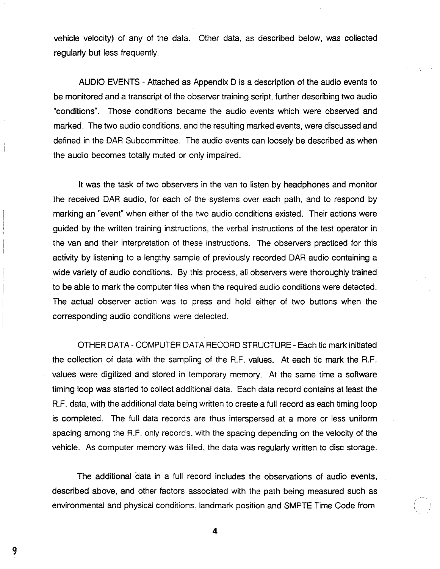vehicle velocity) of any of the data. Other data, as described below, was collected requiarly but less frequently.

AUDIO EVENTS - Attached as Appendix D is a description of the audio events to be monitored and a transcript of the observer training script, further describing two audio "conditions". Those conditions became the audio events which were observed and marked. The two audio conditions, and the resulting marked events, were discussed and defined in the DAR Subcommittee. The audio events can loosely be described as when the audio becomes totally muted or only impaired.

It was the task of two observers in the van to listen by headphones and monitor the received DAR audio, for each of the systems over each path, and to respond by marking an "event" when either of the two audio conditions existed. Their actions were quided by the written training instructions, the verbal instructions of the test operator in the van and their interpretation of these instructions. The observers practiced for this activity by listening to a lengthy sample of previously recorded DAR audio containing a wide variety of audio conditions. By this process, all observers were thoroughly trained to be able to mark the computer files when the required audio conditions were detected. The actual observer action was to press and hold either of two buttons when the corresponding audio conditions were detected.

OTHER DATA - COMPUTER DATA RECORD STRUCTURE - Each tic mark initiated the collection of data with the sampling of the R.F. values. At each tic mark the R.F. values were digitized and stored in temporary memory. At the same time a software timing loop was started to collect additional data. Each data record contains at least the R.F. data, with the additional data being written to create a full record as each timing loop is completed. The full data records are thus interspersed at a more or less uniform spacing among the R.F. only records, with the spacing depending on the velocity of the vehicle. As computer memory was filled, the data was regularly written to disc storage.

The additional data in a full record includes the observations of audio events. described above, and other factors associated with the path being measured such as environmental and physical conditions, landmark position and SMPTE Time Code from

4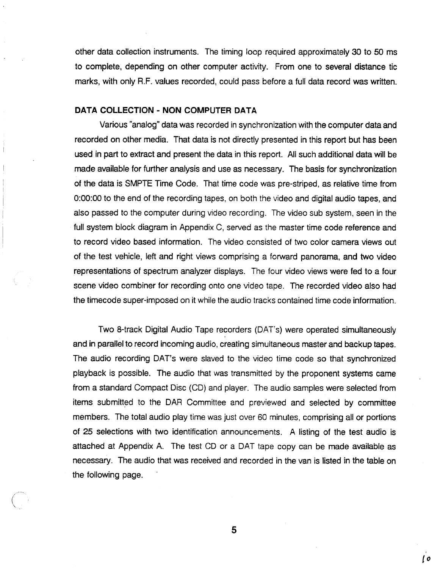other data collection instruments. The timing loop required approximately 30 to 50 ms to complete, depending on other computer activity. From one to several distance tic marks, with only R.F. values recorded, could pass before a full data record was written.

#### DATA COLLECTION - NON COMPUTER DATA

Various "analog" data was recorded in synchronization with the computer data and recorded on other media. That data is not directly presented in this report but has been used in part to extract and present the data in this report. All such additional data will be made available for further analysis and use as necessary. The basis for synchronization of the data is SMPTE Time Code. That time code was pre-striped, as relative time from 0:00:00 to the end of the recording tapes, on both the video and digital audio tapes, and also passed to the computer during video recording. The video sub system, seen in the full system block diagram in Appendix C, served as the master time code reference and to record video based information. The video consisted of two color camera views out of the test vehicle, left and right views comprising a forward panorama, and two video representations of spectrum analyzer displays. The four video views were fed to a four scene video combiner for recording onto one video tape. The recorded video also had the timecode super-imposed on it while the audio tracks contained time code information.

Two 8-track Digital Audio Tape recorders (DAT's) were operated simultaneously and in parallel to record incoming audio, creating simultaneous master and backup tapes. The audio recording DAT's were slaved to the video time code so that synchronized playback is possible. The audio that was transmitted by the proponent systems came from a standard Compact Disc (CD) and player. The audio samples were selected from items submitted to the DAR Committee and previewed and selected by committee members. The total audio play time was just over 60 minutes, comprising all or portions of 25 selections with two identification announcements. A listing of the test audio is attached at Appendix A. The test CD or a DAT tape copy can be made available as necessary. The audio that was received and recorded in the van is listed in the table on the following page.

5

l o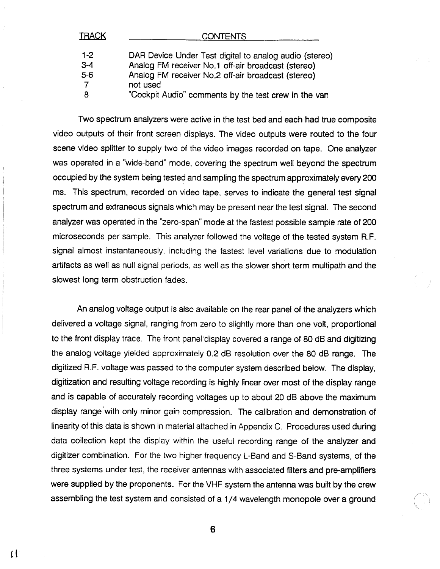| <b>TRACK</b> | <b>CONTENTS</b>                                        |  |  |  |
|--------------|--------------------------------------------------------|--|--|--|
| $1-2$        | DAR Device Under Test digital to analog audio (stereo) |  |  |  |
| $3 - 4$      | Analog FM receiver No.1 off-air broadcast (stereo)     |  |  |  |
| $5 - 6$      | Analog FM receiver No.2 off-air broadcast (stereo)     |  |  |  |
| 7            | not used                                               |  |  |  |
| 8            | "Cockpit Audio" comments by the test crew in the van   |  |  |  |

Two spectrum analyzers were active in the test bed and each had true composite video outputs of their front screen displays. The video outputs were routed to the four scene video splitter to supply two of the video images recorded on tape. One analyzer was operated in a "wide-band" mode, covering the spectrum well beyond the spectrum occupied by the system being tested and sampling the spectrum approximately every 200 ms. This spectrum, recorded on video tape, serves to indicate the general test signal spectrum and extraneous signals which may be present near the test signal. The second analyzer was operated in the "zero-span" mode at the fastest possible sample rate of 200 microseconds per sample. This analyzer followed the voltage of the tested system R.F. signal almost instantaneously, including the fastest level variations due to modulation artifacts as well as null signal periods, as well as the slower short term multipath and the slowest long term obstruction fades.

An analog voltage output is also available on the rear panel of the analyzers which delivered a voltage signal, ranging from zero to slightly more than one volt, proportional to the front display trace. The front panel display covered a range of 80 dB and digitizing the analog voltage yielded approximately 0.2 dB resolution over the 80 dB range. The digitized R.F. voltage was passed to the computer system described below. The display, digitization and resulting voltage recording is highly linear over most of the display range and is capable of accurately recording voltages up to about 20 dB above the maximum display range with only minor gain compression. The calibration and demonstration of linearity of this data is shown in material attached in Appendix C. Procedures used during data collection kept the display within the useful recording range of the analyzer and digitizer combination. For the two higher frequency L-Band and S-Band systems, of the three systems under test, the receiver antennas with associated filters and pre-amplifiers were supplied by the proponents. For the VHF system the antenna was built by the crew assembling the test system and consisted of a 1/4 wavelength monopole over a ground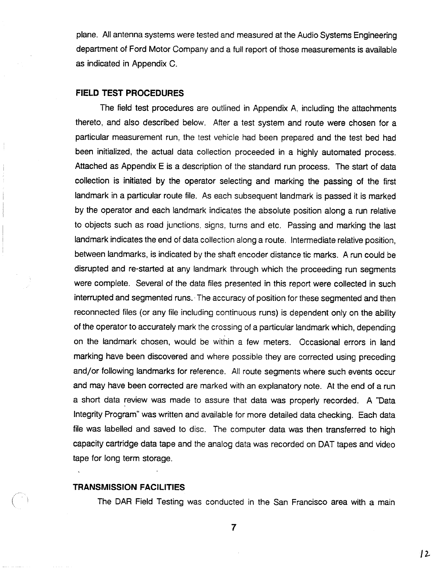plane. All antenna systems were tested and measured at the Audio Systems Engineering department of Ford Motor Company and a full report of those measurements is available as indicated in Appendix C.

#### **FIELD TEST PROCEDURES**

The field test procedures are outlined in Appendix A, including the attachments thereto, and also described below. After a test system and route were chosen for a particular measurement run, the test vehicle had been prepared and the test bed had been initialized, the actual data collection proceeded in a highly automated process. Attached as Appendix E is a description of the standard run process. The start of data collection is initiated by the operator selecting and marking the passing of the first landmark in a particular route file. As each subsequent landmark is passed it is marked by the operator and each landmark indicates the absolute position along a run relative to objects such as road junctions, signs, turns and etc. Passing and marking the last landmark indicates the end of data collection along a route. Intermediate relative position, between landmarks, is indicated by the shaft encoder distance tic marks. A run could be disrupted and re-started at any landmark through which the proceeding run segments were complete. Several of the data files presented in this report were collected in such interrupted and segmented runs. The accuracy of position for these segmented and then reconnected files (or any file including continuous runs) is dependent only on the ability of the operator to accurately mark the crossing of a particular landmark which, depending on the landmark chosen, would be within a few meters. Occasional errors in land marking have been discovered and where possible they are corrected using preceding and/or following landmarks for reference. All route segments where such events occur and may have been corrected are marked with an explanatory note. At the end of a run a short data review was made to assure that data was properly recorded. A "Data Integrity Program" was written and available for more detailed data checking. Each data file was labelled and saved to disc. The computer data was then transferred to high capacity cartridge data tape and the analog data was recorded on DAT tapes and video tape for long term storage.

#### **TRANSMISSION FACILITIES**

The DAR Field Testing was conducted in the San Francisco area with a main

 $\overline{7}$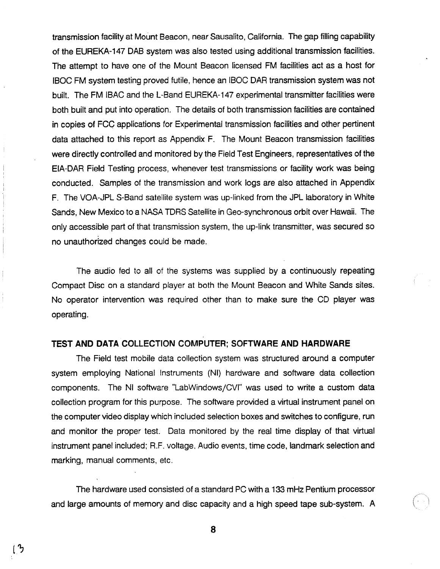transmission facility at Mount Beacon, near Sausalito, California. The gap filling capability of the EUREKA-147 DAB system was also tested using additional transmission facilities. The attempt to have one of the Mount Beacon licensed FM facilities act as a host for IBOC FM system testing proved futile, hence an IBOC DAR transmission system was not built. The FM IBAC and the L-Band EUREKA-147 experimental transmitter facilities were both built and put into operation. The details of both transmission facilities are contained in copies of FCC applications for Experimental transmission facilities and other pertinent data attached to this report as Appendix F. The Mount Beacon transmission facilities were directly controlled and monitored by the Field Test Engineers, representatives of the EIA-DAR Field Testing process, whenever test transmissions or facility work was being conducted. Samples of the transmission and work logs are also attached in Appendix F. The VOA-JPL S-Band satellite system was up-linked from the JPL laboratory in White Sands, New Mexico to a NASA TDRS Satellite in Geo-synchronous orbit over Hawaii. The only accessible part of that transmission system, the up-link transmitter, was secured so no unauthorized changes could be made.

The audio fed to all of the systems was supplied by a continuously repeating Compact Disc on a standard player at both the Mount Beacon and White Sands sites. No operator intervention was required other than to make sure the CD player was operating.

#### TEST AND DATA COLLECTION COMPUTER; SOFTWARE AND HARDWARE

The Field test mobile data collection system was structured around a computer system employing National Instruments (NI) hardware and software data collection components. The NI software "LabWindows/CVI" was used to write a custom data collection program for this purpose. The software provided a virtual instrument panel on the computer video display which included selection boxes and switches to configure, run and monitor the proper test. Data monitored by the real time display of that virtual instrument panel included; R.F. voltage, Audio events, time code, landmark selection and marking, manual comments, etc.

The hardware used consisted of a standard PC with a 133 mHz Pentium processor and large amounts of memory and disc capacity and a high speed tape sub-system. A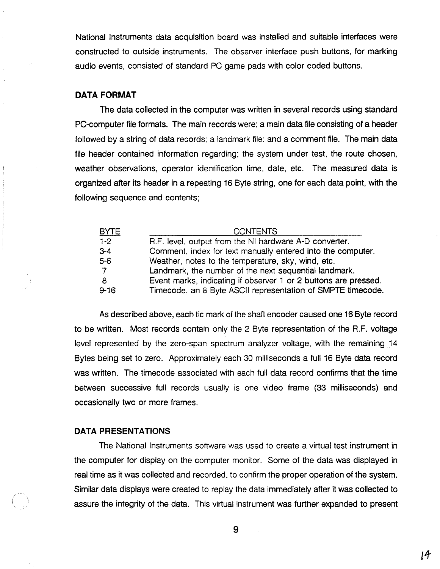National Instruments data acquisition board was installed and suitable interfaces were constructed to outside instruments. The observer interface push buttons, for marking audio events, consisted of standard PC game pads with color coded buttons.

#### **DATA FORMAT**

The data collected in the computer was written in several records using standard PC-computer file formats. The main records were; a main data file consisting of a header followed by a string of data records; a landmark file; and a comment file. The main data file header contained information regarding; the system under test, the route chosen, weather observations, operator identification time, date, etc. The measured data is organized after its header in a repeating 16 Byte string, one for each data point, with the following sequence and contents:

| <b>BYTE</b>    | <b>CONTENTS</b>                                                 |
|----------------|-----------------------------------------------------------------|
| $1-2$          | R.F. level, output from the NI hardware A-D converter.          |
| $3 - 4$        | Comment, index for text manually entered into the computer.     |
| $5-6$          | Weather, notes to the temperature, sky, wind, etc.              |
| $\overline{7}$ | Landmark, the number of the next sequential landmark.           |
| -8             | Event marks, indicating if observer 1 or 2 buttons are pressed. |
| $9 - 16$       | Timecode, an 8 Byte ASCII representation of SMPTE timecode.     |

As described above, each tic mark of the shaft encoder caused one 16 Byte record to be written. Most records contain only the 2 Byte representation of the R.F. voltage level represented by the zero-span spectrum analyzer voltage, with the remaining 14 Bytes being set to zero. Approximately each 30 milliseconds a full 16 Byte data record was written. The timecode associated with each full data record confirms that the time between successive full records usually is one video frame (33 milliseconds) and occasionally two or more frames.

#### **DATA PRESENTATIONS**

The National Instruments software was used to create a virtual test instrument in the computer for display on the computer monitor. Some of the data was displayed in real time as it was collected and recorded, to confirm the proper operation of the system. Similar data displays were created to replay the data immediately after it was collected to assure the integrity of the data. This virtual instrument was further expanded to present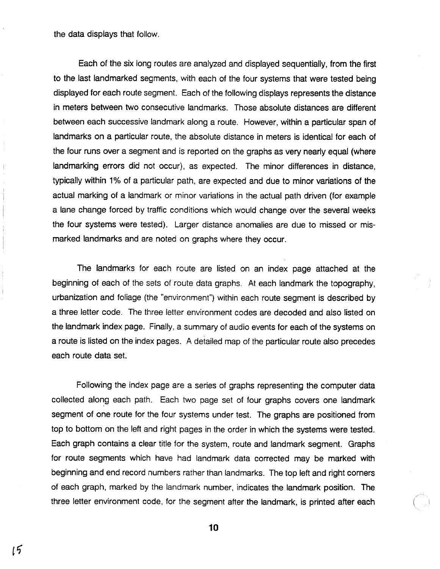the data displays that follow.

Each of the six long routes are analyzed and displayed sequentially, from the first to the last landmarked segments, with each of the four systems that were tested being displayed for each route segment. Each of the following displays represents the distance in meters between two consecutive landmarks. Those absolute distances are different between each successive landmark along a route. However, within a particular span of landmarks on a particular route, the absolute distance in meters is identical for each of the four runs over a segment and is reported on the graphs as very nearly equal (where landmarking errors did not occur), as expected. The minor differences in distance, typically within 1% of a particular path, are expected and due to minor variations of the actual marking of a landmark or minor variations in the actual path driven (for example a lane change forced by traffic conditions which would change over the several weeks the four systems were tested). Larger distance anomalies are due to missed or mismarked landmarks and are noted on graphs where they occur.

The landmarks for each route are listed on an index page attached at the beginning of each of the sets of route data graphs. At each landmark the topography, urbanization and foliage (the "environment") within each route segment is described by a three letter code. The three letter environment codes are decoded and also listed on the landmark index page. Finally, a summary of audio events for each of the systems on a route is listed on the index pages. A detailed map of the particular route also precedes each route data set.

Following the index page are a series of graphs representing the computer data collected along each path. Each two page set of four graphs covers one landmark segment of one route for the four systems under test. The graphs are positioned from top to bottom on the left and right pages in the order in which the systems were tested. Each graph contains a clear title for the system, route and landmark segment. Graphs for route segments which have had landmark data corrected may be marked with beginning and end record numbers rather than landmarks. The top left and right corners of each graph, marked by the landmark number, indicates the landmark position. The three letter environment code, for the segment after the landmark, is printed after each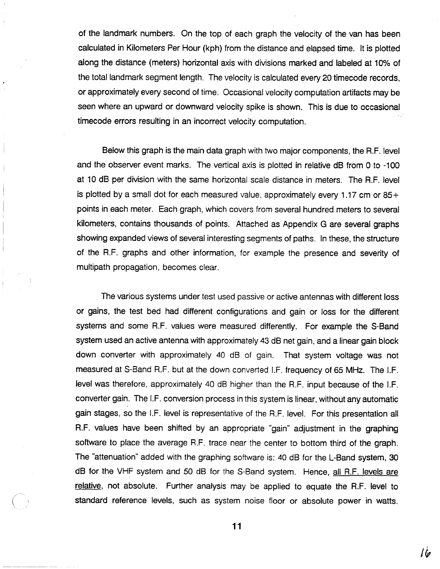of the landmark numbers. On the top of each graph the velocity of the van has been calculated in Kilometers Per Hour (kph) from the distance and elapsed time. It is plotted along the distance (meters) horizontal axis with divisions marked and labeled at 10% of the total landmark segment length. The velocity is calculated every 20 timecode records. or approximately every second of time. Occasional velocity computation artifacts may be seen where an upward or downward velocity spike is shown. This is due to occasional timecode errors resulting in an incorrect velocity computation.

Below this graph is the main data graph with two major components, the R.F. level and the observer event marks. The vertical axis is plotted in relative dB from 0 to -100 at 10 dB per division with the same horizontal scale distance in meters. The R.F. level is plotted by a small dot for each measured value, approximately every 1.17 cm or  $85+$ points in each meter. Each graph, which covers from several hundred meters to several kilometers, contains thousands of points. Attached as Appendix G are several graphs showing expanded views of several interesting segments of paths. In these, the structure of the R.F. graphs and other information, for example the presence and severity of multipath propagation, becomes clear.

The various systems under test used passive or active antennas with different loss or gains, the test bed had different configurations and gain or loss for the different systems and some R.F. values were measured differently. For example the S-Band system used an active antenna with approximately 43 dB net gain, and a linear gain block down converter with approximately 40 dB of gain. That system voltage was not measured at S-Band R.F. but at the down converted I.F. frequency of 65 MHz. The I.F. level was therefore, approximately 40 dB higher than the R.F. input because of the I.F. converter gain. The I.F. conversion process in this system is linear, without any automatic gain stages, so the I.F. level is representative of the R.F. level. For this presentation all R.F. values have been shifted by an appropriate "gain" adjustment in the graphing software to place the average R.F. trace near the center to bottom third of the graph. The "attenuation" added with the graphing software is: 40 dB for the L-Band system, 30 dB for the VHF system and 50 dB for the S-Band system. Hence, all R.F. levels are relative, not absolute. Further analysis may be applied to equate the R.F. level to standard reference levels, such as system noise floor or absolute power in watts.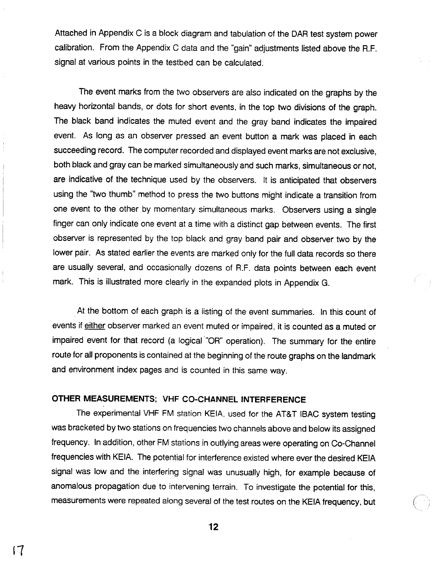Attached in Appendix C is a block diagram and tabulation of the DAR test system power calibration. From the Appendix C data and the "gain" adjustments listed above the R.F. signal at various points in the testbed can be calculated.

The event marks from the two observers are also indicated on the graphs by the heavy horizontal bands, or dots for short events, in the top two divisions of the graph. The black band indicates the muted event and the gray band indicates the impaired event. As long as an observer pressed an event button a mark was placed in each succeeding record. The computer recorded and displayed event marks are not exclusive. both black and gray can be marked simultaneously and such marks, simultaneous or not, are indicative of the technique used by the observers. It is anticipated that observers using the "two thumb" method to press the two buttons might indicate a transition from one event to the other by momentary simultaneous marks. Observers using a single finger can only indicate one event at a time with a distinct gap between events. The first observer is represented by the top black and gray band pair and observer two by the lower pair. As stated earlier the events are marked only for the full data records so there are usually several, and occasionally dozens of R.F. data points between each event mark. This is illustrated more clearly in the expanded plots in Appendix G.

At the bottom of each graph is a listing of the event summaries. In this count of events if either observer marked an event muted or impaired, it is counted as a muted or impaired event for that record (a logical "OR" operation). The summary for the entire route for all proponents is contained at the beginning of the route graphs on the landmark and environment index pages and is counted in this same way.

#### OTHER MEASUREMENTS; VHF CO-CHANNEL INTERFERENCE

The experimental VHF FM station KEIA, used for the AT&T IBAC system testing was bracketed by two stations on frequencies two channels above and below its assigned frequency. In addition, other FM stations in outlying areas were operating on Co-Channel frequencies with KEIA. The potential for interference existed where ever the desired KEIA signal was low and the interfering signal was unusually high, for example because of anomalous propagation due to intervening terrain. To investigate the potential for this, measurements were repeated along several of the test routes on the KEIA frequency, but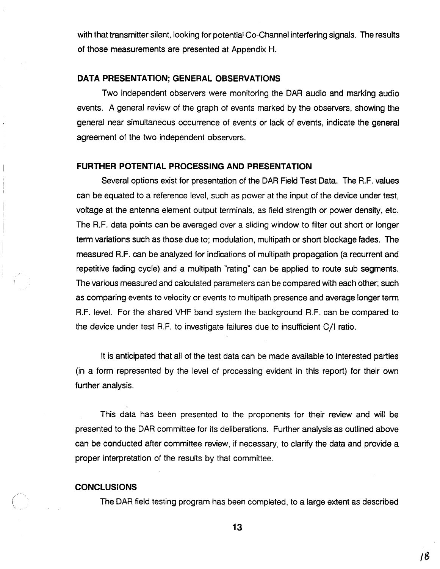with that transmitter silent, looking for potential Co-Channel interfering signals. The results of those measurements are presented at Appendix H.

#### DATA PRESENTATION; GENERAL OBSERVATIONS

Two independent observers were monitoring the DAR audio and marking audio events. A general review of the graph of events marked by the observers, showing the general near simultaneous occurrence of events or lack of events, indicate the general agreement of the two independent observers.

#### FURTHER POTENTIAL PROCESSING AND PRESENTATION

Several options exist for presentation of the DAR Field Test Data. The R.F. values can be equated to a reference level, such as power at the input of the device under test, voltage at the antenna element output terminals, as field strength or power density, etc. The R.F. data points can be averaged over a sliding window to filter out short or longer term variations such as those due to; modulation, multipath or short blockage fades. The measured R.F. can be analyzed for indications of multipath propagation (a recurrent and repetitive fading cycle) and a multipath "rating" can be applied to route sub segments. The various measured and calculated parameters can be compared with each other; such as comparing events to velocity or events to multipath presence and average longer term R.F. level. For the shared VHF band system the background R.F. can be compared to the device under test R.F. to investigate failures due to insufficient C/I ratio.

It is anticipated that all of the test data can be made available to interested parties (in a form represented by the level of processing evident in this report) for their own further analysis.

This data has been presented to the proponents for their review and will be presented to the DAR committee for its deliberations. Further analysis as outlined above can be conducted after committee review, if necessary, to clarify the data and provide a proper interpretation of the results by that committee.

#### **CONCLUSIONS**

The DAR field testing program has been completed, to a large extent as described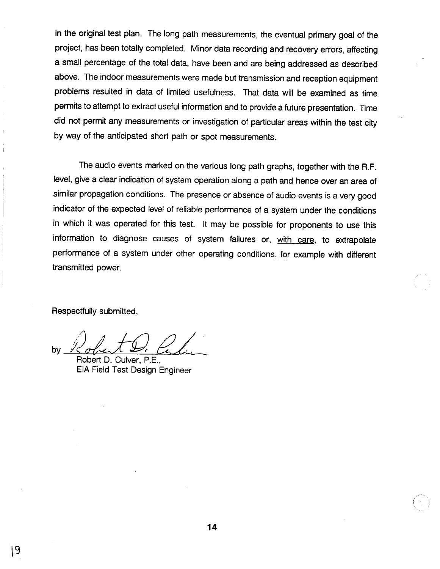in the original test plan. The long path measurements, the eventual primary goal of the project, has been totally completed. Minor data recording and recovery errors, affecting a small percentage of the total data, have been and are being addressed as described above. The indoor measurements were made but transmission and reception equipment problems resulted in data of limited usefulness. That data will be examined as time permits to attempt to extract useful information and to provide a future presentation. Time did not permit any measurements or investigation of particular areas within the test city by way of the anticipated short path or spot measurements.

The audio events marked on the various long path graphs, together with the R.F. level, give a clear indication of system operation along a path and hence over an area of similar propagation conditions. The presence or absence of audio events is a very good indicator of the expected level of reliable performance of a system under the conditions in which it was operated for this test. It may be possible for proponents to use this information to diagnose causes of system failures or, with care, to extrapolate performance of a system under other operating conditions, for example with different transmitted power.

Respectfully submitted,

Robert D. Culver, P.E., EIA Field Test Design Engineer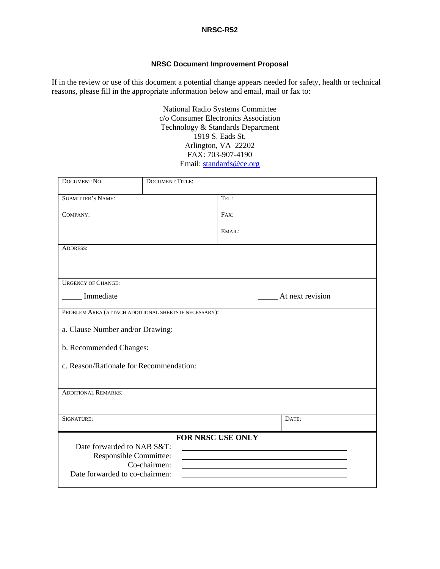#### **NRSC-R52**

#### **NRSC Document Improvement Proposal**

If in the review or use of this document a potential change appears needed for safety, health or technical reasons, please fill in the appropriate information below and email, mail or fax to:

> National Radio Systems Committee c/o Consumer Electronics Association Technology & Standards Department 1919 S. Eads St. Arlington, VA 22202 FAX: 703-907-4190 Email: standards@ce.org

| DOCUMENT NO.                                          | <b>DOCUMENT TITLE:</b> |                   |  |
|-------------------------------------------------------|------------------------|-------------------|--|
| <b>SUBMITTER'S NAME:</b>                              |                        | TEL:              |  |
| COMPANY:                                              |                        | FAX:              |  |
|                                                       |                        | EMAIL:            |  |
| <b>ADDRESS:</b>                                       |                        |                   |  |
|                                                       |                        |                   |  |
| <b>URGENCY OF CHANGE:</b>                             |                        |                   |  |
| Immediate                                             |                        | At next revision  |  |
| PROBLEM AREA (ATTACH ADDITIONAL SHEETS IF NECESSARY): |                        |                   |  |
| a. Clause Number and/or Drawing:                      |                        |                   |  |
| b. Recommended Changes:                               |                        |                   |  |
| c. Reason/Rationale for Recommendation:               |                        |                   |  |
|                                                       |                        |                   |  |
| <b>ADDITIONAL REMARKS:</b>                            |                        |                   |  |
|                                                       |                        |                   |  |
| SIGNATURE:                                            |                        | DATE:             |  |
|                                                       |                        | FOR NRSC USE ONLY |  |
| Date forwarded to NAB S&T:<br>Responsible Committee:  |                        |                   |  |
| Co-chairmen:                                          |                        |                   |  |
| Date forwarded to co-chairmen:                        |                        |                   |  |